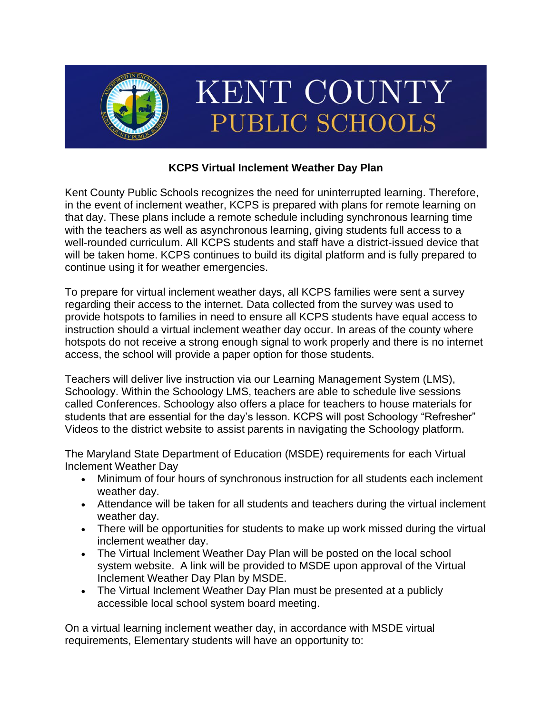

# **KCPS Virtual Inclement Weather Day Plan**

Kent County Public Schools recognizes the need for uninterrupted learning. Therefore, in the event of inclement weather, KCPS is prepared with plans for remote learning on that day. These plans include a remote schedule including synchronous learning time with the teachers as well as asynchronous learning, giving students full access to a well-rounded curriculum. All KCPS students and staff have a district-issued device that will be taken home. KCPS continues to build its digital platform and is fully prepared to continue using it for weather emergencies.

To prepare for virtual inclement weather days, all KCPS families were sent a survey regarding their access to the internet. Data collected from the survey was used to provide hotspots to families in need to ensure all KCPS students have equal access to instruction should a virtual inclement weather day occur. In areas of the county where hotspots do not receive a strong enough signal to work properly and there is no internet access, the school will provide a paper option for those students.

Teachers will deliver live instruction via our Learning Management System (LMS), Schoology. Within the Schoology LMS, teachers are able to schedule live sessions called Conferences. Schoology also offers a place for teachers to house materials for students that are essential for the day's lesson. KCPS will post Schoology "Refresher" Videos to the district website to assist parents in navigating the Schoology platform.

The Maryland State Department of Education (MSDE) requirements for each Virtual Inclement Weather Day

- Minimum of four hours of synchronous instruction for all students each inclement weather day.
- Attendance will be taken for all students and teachers during the virtual inclement weather day.
- There will be opportunities for students to make up work missed during the virtual inclement weather day.
- The Virtual Inclement Weather Day Plan will be posted on the local school system website. A link will be provided to MSDE upon approval of the Virtual Inclement Weather Day Plan by MSDE.
- The Virtual Inclement Weather Day Plan must be presented at a publicly accessible local school system board meeting.

On a virtual learning inclement weather day, in accordance with MSDE virtual requirements, Elementary students will have an opportunity to: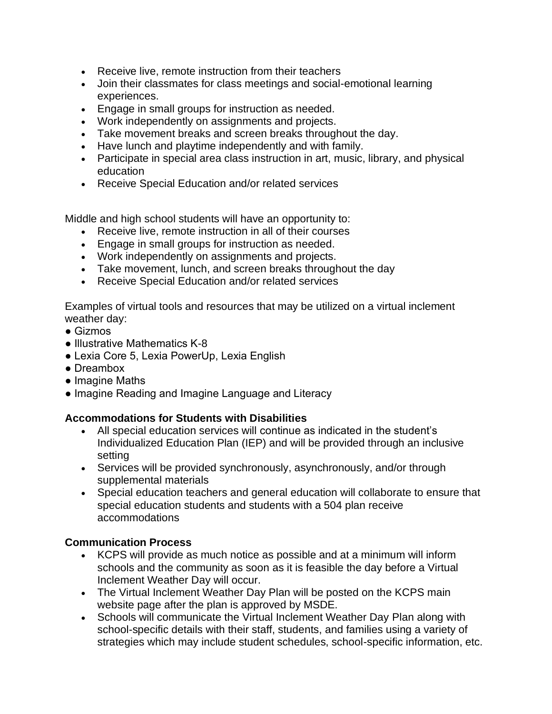- Receive live, remote instruction from their teachers
- Join their classmates for class meetings and social-emotional learning experiences.
- Engage in small groups for instruction as needed.
- Work independently on assignments and projects.
- Take movement breaks and screen breaks throughout the day.
- Have lunch and playtime independently and with family.
- Participate in special area class instruction in art, music, library, and physical education
- Receive Special Education and/or related services

Middle and high school students will have an opportunity to:

- Receive live, remote instruction in all of their courses
- Engage in small groups for instruction as needed.
- Work independently on assignments and projects.
- Take movement, lunch, and screen breaks throughout the day
- Receive Special Education and/or related services

Examples of virtual tools and resources that may be utilized on a virtual inclement weather day:

- $\bullet$  Gizmos
- Illustrative Mathematics K-8
- Lexia Core 5, Lexia PowerUp, Lexia English
- Dreambox
- Imagine Maths
- Imagine Reading and Imagine Language and Literacy

# **Accommodations for Students with Disabilities**

- All special education services will continue as indicated in the student's Individualized Education Plan (IEP) and will be provided through an inclusive setting
- Services will be provided synchronously, asynchronously, and/or through supplemental materials
- Special education teachers and general education will collaborate to ensure that special education students and students with a 504 plan receive accommodations

# **Communication Process**

- KCPS will provide as much notice as possible and at a minimum will inform schools and the community as soon as it is feasible the day before a Virtual Inclement Weather Day will occur.
- The Virtual Inclement Weather Day Plan will be posted on the KCPS main website page after the plan is approved by MSDE.
- Schools will communicate the Virtual Inclement Weather Day Plan along with school-specific details with their staff, students, and families using a variety of strategies which may include student schedules, school-specific information, etc.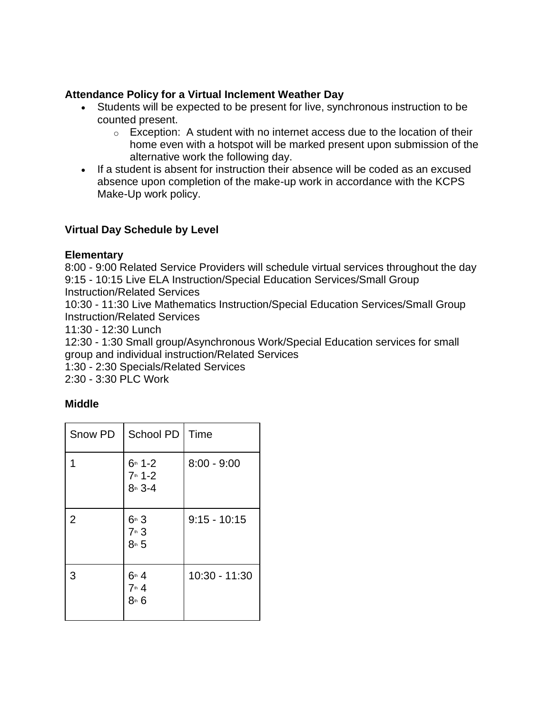### **Attendance Policy for a Virtual Inclement Weather Day**

- Students will be expected to be present for live, synchronous instruction to be counted present.
	- $\circ$  Exception: A student with no internet access due to the location of their home even with a hotspot will be marked present upon submission of the alternative work the following day.
- If a student is absent for instruction their absence will be coded as an excused absence upon completion of the make-up work in accordance with the KCPS Make-Up work policy.

#### **Virtual Day Schedule by Level**

#### **Elementary**

8:00 - 9:00 Related Service Providers will schedule virtual services throughout the day 9:15 - 10:15 Live ELA Instruction/Special Education Services/Small Group Instruction/Related Services

10:30 - 11:30 Live Mathematics Instruction/Special Education Services/Small Group Instruction/Related Services

11:30 - 12:30 Lunch

12:30 - 1:30 Small group/Asynchronous Work/Special Education services for small group and individual instruction/Related Services

1:30 - 2:30 Specials/Related Services

2:30 - 3:30 PLC Work

# **Middle**

| Snow PD        | School PD                           | Time           |
|----------------|-------------------------------------|----------------|
|                | $6th$ 1-2<br>$7th 1-2$<br>$8th$ 3-4 | $8:00 - 9:00$  |
| $\overline{2}$ | $6th$ 3<br>7th 3<br>$8$ th 5        | $9:15 - 10:15$ |
| 3              | 6th4<br>$7th$ 4<br>8th 6            | 10:30 - 11:30  |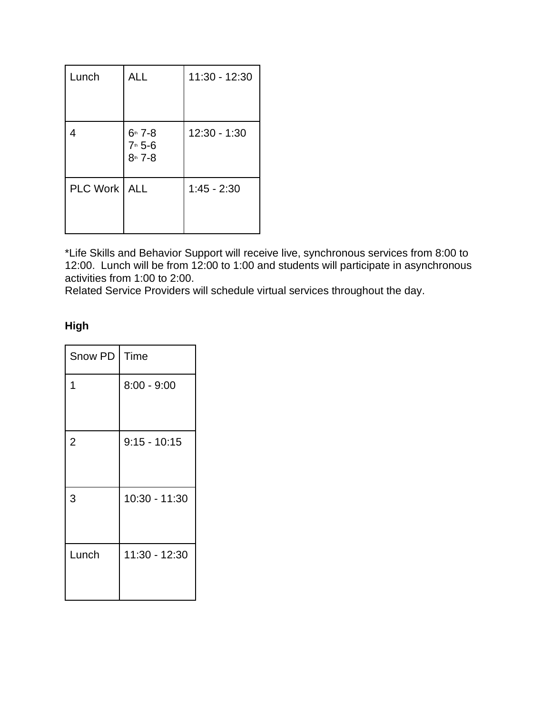| Lunch    | <b>ALL</b>                       | 11:30 - 12:30 |
|----------|----------------------------------|---------------|
| 4        | $6h$ 7-8<br>7th 5-6<br>$8th$ 7-8 | 12:30 - 1:30  |
| PLC Work | <b>ALL</b>                       | $1:45 - 2:30$ |

\*Life Skills and Behavior Support will receive live, synchronous services from 8:00 to 12:00. Lunch will be from 12:00 to 1:00 and students will participate in asynchronous activities from 1:00 to 2:00.

Related Service Providers will schedule virtual services throughout the day.

# **High**

| Snow PD        | Time           |
|----------------|----------------|
| 1              | $8:00 - 9:00$  |
| $\overline{2}$ | $9:15 - 10:15$ |
| 3              | 10:30 - 11:30  |
| Lunch          | 11:30 - 12:30  |